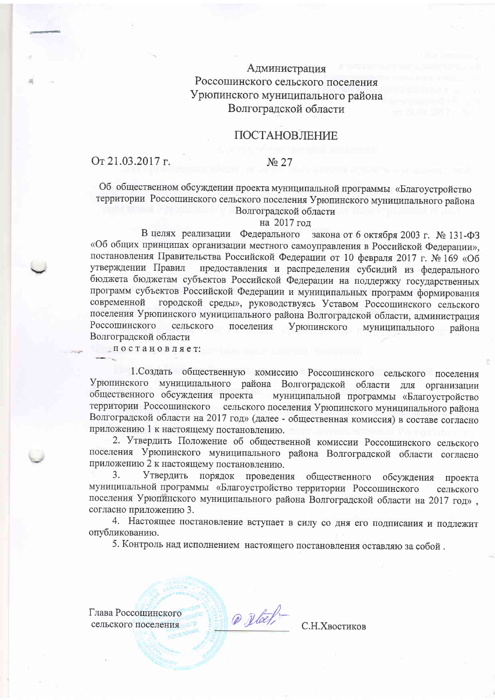## Администрация Россошинского сельского поселения Урюпинского муниципального района Волгоградской области

## ПОСТАНОВЛЕНИЕ

## От 21.03.2017 г.

### No 27

Об общественном обсуждении проекта муниципальной программы «Благоустройство территории Россошинского сельского поселения Урюпинского муниципального района Волгоградской области

#### на 2017 год

В целях реализации Федерального закона от 6 октября 2003 г. № 131-ФЗ «Об общих принципах организации местного самоуправления в Российской Федерации», постановления Правительства Российской Федерации от 10 февраля 2017 г. № 169 «Об предоставления и распределения субсидий из федерального утверждении Правил бюджета бюджетам субъектов Российской Федерации на поддержку государственных программ субъектов Российской Федерации и муниципальных программ формирования городской среды», руководствуясь Уставом Россошинского сельского современной поселения Урюпинского муниципального района Волгоградской области, администрация Россошинского сельского поселения Урюпинского муниципального района Волгоградской области

постановляет:

1. Создать общественную комиссию Россошинского сельского поселения Урюпинского муниципального района Волгоградской области для организации общественного обсуждения проекта муниципальной программы «Благоустройство территории Россошинского сельского поселения Урюпинского муниципального района Волгоградской области на 2017 год» (далее - общественная комиссия) в составе согласно приложению 1 к настоящему постановлению.

2. Утвердить Положение об общественной комиссии Россошинского сельского поселения Урюпинского муниципального района Волгоградской области согласно приложению 2 к настоящему постановлению.

Утвердить порядок проведения 3. общественного обсуждения проекта муниципальной программы «Благоустройство территории Россошинского сельского поселения Урюпинского муниципального района Волгоградской области на 2017 год», согласно приложению 3.

4. Настоящее постановление вступает в силу со дня его подписания и подлежит опубликованию.

5. Контроль над исполнением настоящего постановления оставляю за собой.

@ Dlack

Глава Россошинского сельского поселения

С.Н. Хвостиков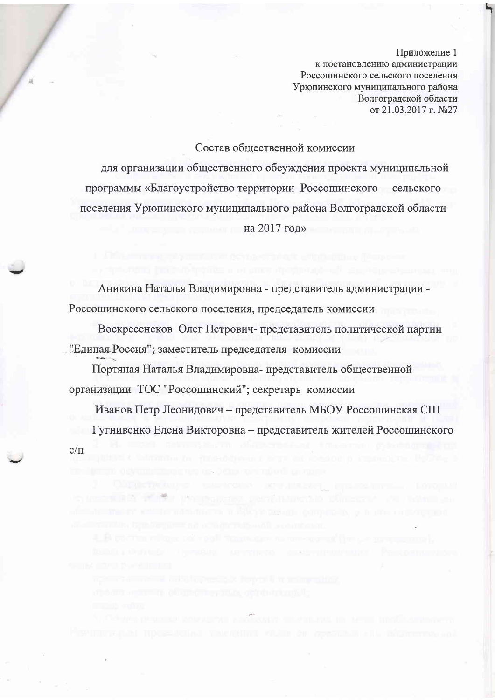к постановлению администрации Россошинского сельского поселения Урюпинского муниципального района Волгоградской области от 21.03.2017 г. №27

### Состав общественной комиссии

для организации общественного обсуждения проекта муниципальной программы «Благоустройство территории Россошинского сельского поселения Урюпинского муниципального района Волгоградской области на 2017 год»

Аникина Наталья Владимировна - представитель администрации -Россошинского сельского поселения, председатель комиссии

Воскресенсков Олег Петрович-представитель политической партии "Единая Россия"; заместитель председателя комиссии

Портяная Наталья Владимировна-представитель общественной организации ТОС "Россошинский"; секретарь комиссии

Иванов Петр Леонидович - представитель МБОУ Россошинская СШ Гугнивенко Елена Викторовна - представитель жителей Россошинского  $c/\pi$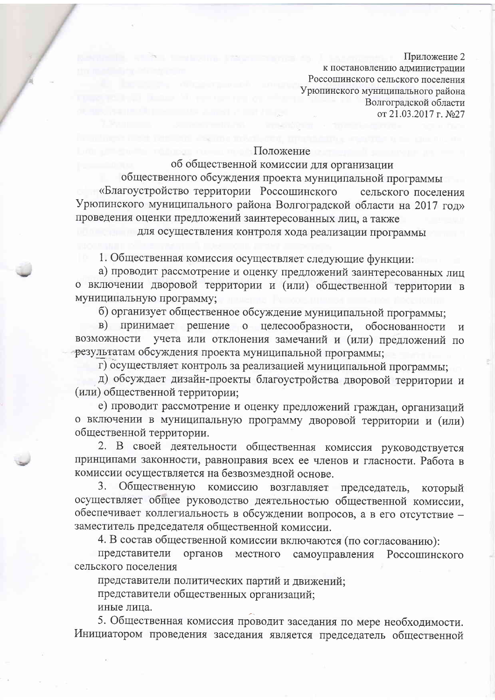к постановлению администрации Россошинского сельского поселения Урюпинского муниципального района Волгоградской области от 21.03.2017 г. №27

## Положение

## об общественной комиссии для организации

общественного обсуждения проекта муниципальной программы «Благоустройство территории Россошинского сельского поселения Урюпинского муниципального района Волгоградской области на 2017 год» проведения оценки предложений заинтересованных лиц, а также

для осуществления контроля хода реализации программы

1. Общественная комиссия осуществляет следующие функции:

а) проводит рассмотрение и оценку предложений заинтересованных лиц о включении дворовой территории и (или) общественной территории в муниципальную программу;

б) организует общественное обсуждение муниципальной программы;

в) принимает решение о целесообразности, обоснованности  $\mathbf{M}$ учета или отклонения замечаний и (или) предложений по возможности результатам обсуждения проекта муниципальной программы;

г) осуществляет контроль за реализацией муниципальной программы;

д) обсуждает дизайн-проекты благоустройства дворовой территории и (или) общественной территории;

е) проводит рассмотрение и оценку предложений граждан, организаций о включении в муниципальную программу дворовой территории и (или) общественной территории.

2. В своей деятельности общественная комиссия руководствуется принципами законности, равноправия всех ее членов и гласности. Работа в комиссии осуществляется на безвозмездной основе.

Общественную комиссию  $3.$ возглавляет председатель, который осуществляет общее руководство деятельностью общественной комиссии, обеспечивает коллегиальность в обсуждении вопросов, а в его отсутствие заместитель председателя общественной комиссии.

4. В состав общественной комиссии включаются (по согласованию):

представители органов местного самоуправления Россошинского сельского поселения

представители политических партий и движений;

представители общественных организаций;

иные лица.

5. Общественная комиссия проводит заседания по мере необходимости. Инициатором проведения заседания является председатель общественной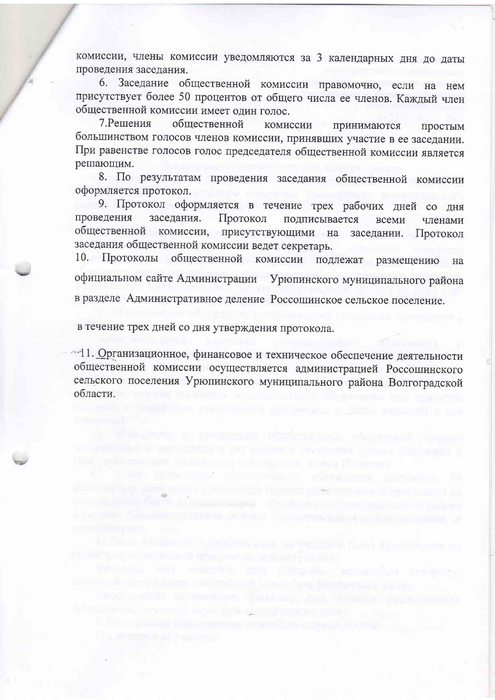комиссии, члены комиссии уведомляются за 3 календарных дня до даты проведения заседания.

6. Заседание общественной комиссии правомочно, если на нем присутствует более 50 процентов от общего числа ее членов. Каждый член общественной комиссии имеет один голос.

7. Решения обшественной комиссии принимаются простым большинством голосов членов комиссии, принявших участие в ее заседании. При равенстве голосов голос председателя общественной комиссии является решающим.

8. По результатам проведения заседания общественной комиссии оформляется протокол.

9. Протокол оформляется в течение трех рабочих дней со дня заседания. Протокол проведения подписывается всеми членами общественной комиссии, присутствующими на заседании. Протокол заседания общественной комиссии ведет секретарь.

10. Протоколы общественной комиссии подлежат размещению на официальном сайте Администрации Урюпинского муниципального района в разделе Административное деление Россошинское сельское поселение.

в течение трех дней со дня утверждения протокола.

und, anversar heres film gemänden at man

-11. Организационное, финансовое и техническое обеспечение деятельности общественной комиссии осуществляется администрацией Россошинского сельского поселения Урюпинского муниципального района Волгоградской области.

ank t kun divide a sevamenta mintera a treggend p

reformed the second school appearance and

Denne olimping chemical defendant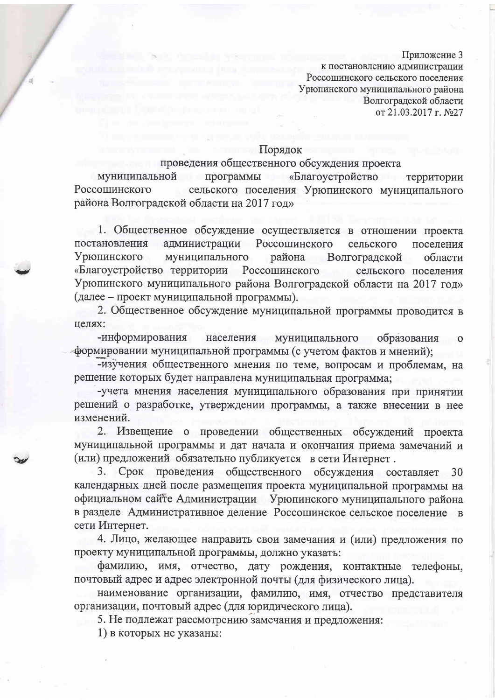к постановлению администрации Россошинского сельского поселения Урюпинского муниципального района Волгоградской области от 21.03.2017 г. №27

## Порядок

### проведения общественного обсуждения проекта

муниципальной программы «Благоустройство территории Россошинского сельского поселения Урюпинского муниципального района Волгоградской области на 2017 год»

1. Общественное обсуждение осуществляется в отношении проекта постановления администрации Россошинского сельского поселения муниципального Урюпинского района Волгоградской области «Благоустройство территории Россошинского сельского поселения Урюпинского муниципального района Волгоградской области на 2017 год» (далее – проект муниципальной программы).

2. Общественное обсуждение муниципальной программы проводится в целях:

-информирования населения муниципального образования  $\mathbf{O}$ формировании муниципальной программы (с учетом фактов и мнений);

-изучения общественного мнения по теме, вопросам и проблемам, на решение которых будет направлена муниципальная программа;

-учета мнения населения муниципального образования при принятии решений о разработке, утверждении программы, а также внесении в нее изменений.

2. Извещение о проведении общественных обсуждений проекта муниципальной программы и дат начала и окончания приема замечаний и (или) предложений обязательно публикуется в сети Интернет.

Срок проведения общественного обсуждения составляет 3. 30 календарных дней после размещения проекта муниципальной программы на официальном сайте Администрации Урюпинского муниципального района в разделе Административное деление Россошинское сельское поселение в сети Интернет.

4. Лицо, желающее направить свои замечания и (или) предложения по проекту муниципальной программы, должно указать:

фамилию, имя, отчество, дату рождения, контактные телефоны, почтовый адрес и адрес электронной почты (для физического лица).

наименование организации, фамилию, имя, отчество представителя организации, почтовый адрес (для юридического лица).

5. Не подлежат рассмотрению замечания и предложения:

1) в которых не указаны: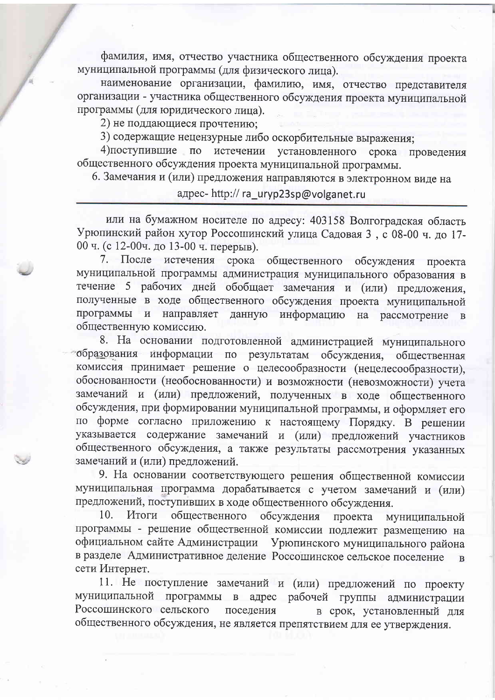фамилия, имя, отчество участника общественного обсуждения проекта муниципальной программы (для физического лица).

наименование организации, фамилию, имя, отчество представителя организации - участника общественного обсуждения проекта муниципальной программы (для юридического лица).

2) не поддающиеся прочтению;

3) содержащие нецензурные либо оскорбительные выражения;

4) поступившие по истечении установленного срока проведения общественного обсуждения проекта муниципальной программы.

6. Замечания и (или) предложения направляются в электронном виде на

## адрес- http:// ra\_uryp23sp@volganet.ru

или на бумажном носителе по адресу: 403158 Волгоградская область Урюпинский район хутор Россошинский улица Садовая 3, с 08-00 ч. до 17-00 ч. (с 12-00ч. до 13-00 ч. перерыв).

7. После истечения срока общественного обсуждения проекта муниципальной программы администрация муниципального образования в течение 5 рабочих дней обобщает замечания и (или) предложения, полученные в ходе общественного обсуждения проекта муниципальной программы и направляет данную информацию на рассмотрение  $\overline{B}$ общественную комиссию.

8. На основании подготовленной администрацией муниципального образования информации по результатам обсуждения, общественная комиссия принимает решение о целесообразности (нецелесообразности), обоснованности (необоснованности) и возможности (невозможности) учета замечаний и (или) предложений, полученных в ходе общественного обсуждения, при формировании муниципальной программы, и оформляет его по форме согласно приложению к настоящему Порядку. В решении указывается содержание замечаний и (или) предложений участников общественного обсуждения, а также результаты рассмотрения указанных замечаний и (или) предложений.

9. На основании соответствующего решения общественной комиссии муниципальная программа дорабатывается с учетом замечаний и (или) предложений, поступивших в ходе общественного обсуждения.

обсуждения 10. Итоги общественного проекта муниципальной программы - решение общественной комиссии подлежит размещению на официальном сайте Администрации Урюпинского муниципального района в разделе Административное деление Россошинское сельское поселение  $\overline{B}$ сети Интернет.

11. Не поступление замечаний и (или) предложений по проекту муниципальной программы в адрес рабочей группы администрации Россошинского сельского поселения в срок, установленный для общественного обсуждения, не является препятствием для ее утверждения.